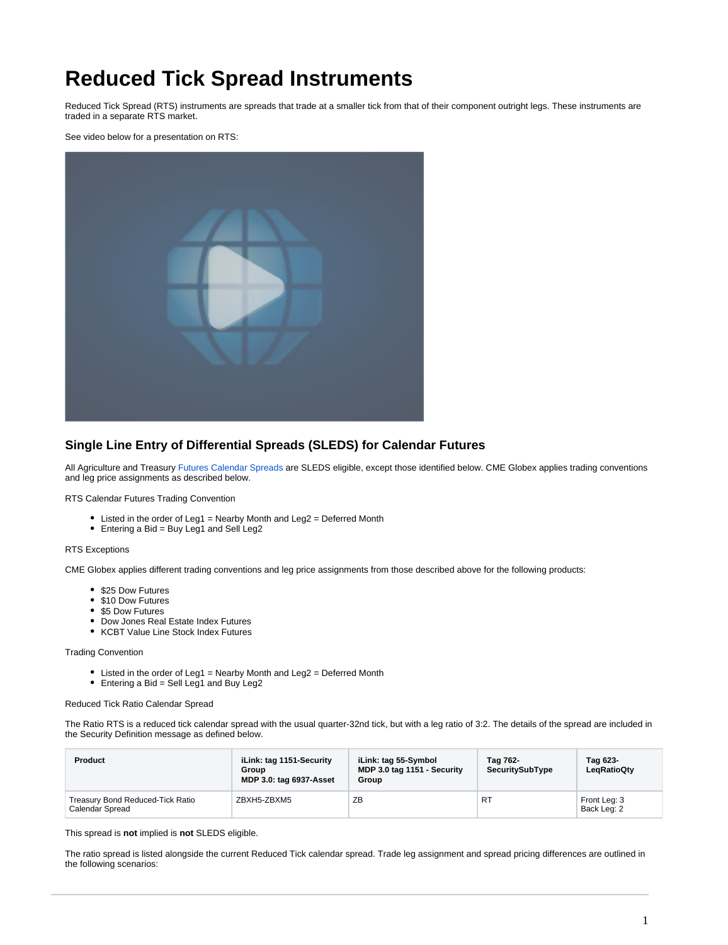# **Reduced Tick Spread Instruments**

Reduced Tick Spread (RTS) instruments are spreads that trade at a smaller tick from that of their component outright legs. These instruments are traded in a separate RTS market.

See video below for a presentation on RTS:



## **Single Line Entry of Differential Spreads (SLEDS) for Calendar Futures**

All Agriculture and Treasury [Futures Calendar Spreads](https://www.cmegroup.com/confluence/display/EPICSANDBOX/Spreads+and+Combinations+Available+on+CME+Globex) are SLEDS eligible, except those identified below. CME Globex applies trading conventions and leg price assignments as described below.

RTS Calendar Futures Trading Convention

- Listed in the order of Leg1 = Nearby Month and Leg2 = Deferred Month
- Entering a Bid = Buy Leg1 and Sell Leg2

#### RTS Exceptions

CME Globex applies different trading conventions and leg price assignments from those described above for the following products:

- \$25 Dow Futures
- \$10 Dow Futures
- \$5 Dow Futures
- Dow Jones Real Estate Index Futures
- KCBT Value Line Stock Index Futures

#### Trading Convention

- Listed in the order of Leg1 = Nearby Month and Leg2 = Deferred Month
- $\bullet$  Entering a Bid = Sell Leg1 and Buy Leg2

### Reduced Tick Ratio Calendar Spread

The Ratio RTS is a reduced tick calendar spread with the usual quarter-32nd tick, but with a leg ratio of 3:2. The details of the spread are included in the Security Definition message as defined below.

| Product                                             | iLink: tag 1151-Security<br>Group<br>MDP 3.0: tag 6937-Asset | iLink: tag 55-Symbol<br>MDP 3.0 tag 1151 - Security<br>Group | Tag 762-<br>SecuritySubType | Tag 623-<br>LegRatioQty     |
|-----------------------------------------------------|--------------------------------------------------------------|--------------------------------------------------------------|-----------------------------|-----------------------------|
| Treasury Bond Reduced-Tick Ratio<br>Calendar Spread | ZBXH5-ZBXM5                                                  | ZB                                                           | R1                          | Front Leg: 3<br>Back Leg: 2 |

This spread is **not** implied is **not** SLEDS eligible.

The ratio spread is listed alongside the current Reduced Tick calendar spread. Trade leg assignment and spread pricing differences are outlined in the following scenarios: